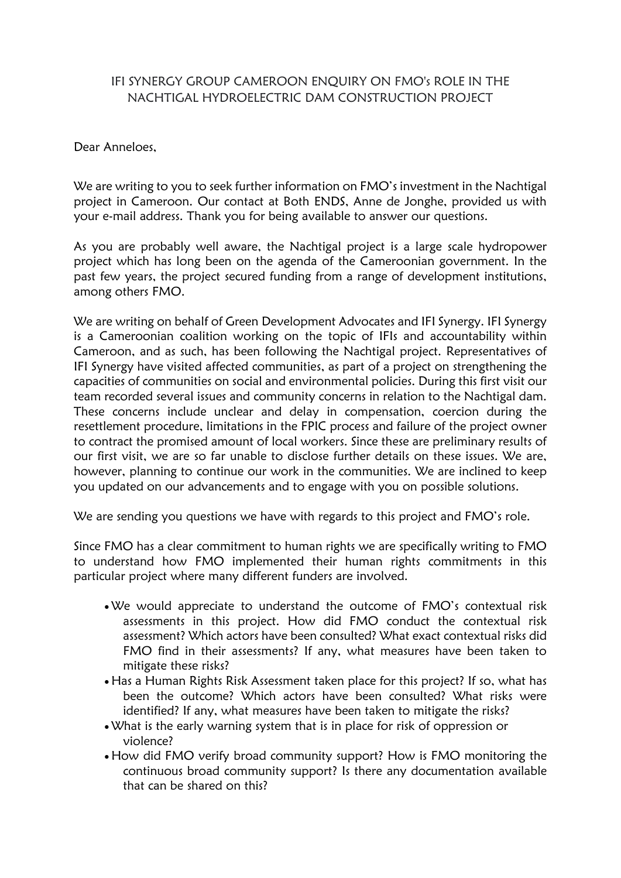## IFI SYNERGY GROUP CAMEROON ENQUIRY ON FMO's ROLE IN THE NACHTIGAL HYDROELECTRIC DAM CONSTRUCTION PROJECT

Dear Anneloes,

We are writing to you to seek further information on FMO's investment in the Nachtigal project in Cameroon. Our contact at Both ENDS, Anne de Jonghe, provided us with your e-mail address. Thank you for being available to answer our questions.

As you are probably well aware, the Nachtigal project is a large scale hydropower project which has long been on the agenda of the Cameroonian government. In the past few years, the project secured funding from a range of development institutions, among others FMO.

We are writing on behalf of Green Development Advocates and IFI Synergy. IFI Synergy is a Cameroonian coalition working on the topic of IFIs and accountability within Cameroon, and as such, has been following the Nachtigal project. Representatives of IFI Synergy have visited affected communities, as part of a project on strengthening the capacities of communities on social and environmental policies. During this first visit our team recorded several issues and community concerns in relation to the Nachtigal dam. These concerns include unclear and delay in compensation, coercion during the resettlement procedure, limitations in the FPIC process and failure of the project owner to contract the promised amount of local workers. Since these are preliminary results of our first visit, we are so far unable to disclose further details on these issues. We are, however, planning to continue our work in the communities. We are inclined to keep you updated on our advancements and to engage with you on possible solutions.

We are sending you questions we have with regards to this project and FMO's role.

Since FMO has a clear commitment to human rights we are specifically writing to FMO to understand how FMO implemented their human rights commitments in this particular project where many different funders are involved.

- We would appreciate to understand the outcome of FMO's contextual risk assessments in this project. How did FMO conduct the contextual risk assessment? Which actors have been consulted? What exact contextual risks did FMO find in their assessments? If any, what measures have been taken to mitigate these risks?
- Has a Human Rights Risk Assessment taken place for this project? If so, what has been the outcome? Which actors have been consulted? What risks were identified? If any, what measures have been taken to mitigate the risks?
- What is the early warning system that is in place for risk of oppression or violence?
- How did FMO verify broad community support? How is FMO monitoring the continuous broad community support? Is there any documentation available that can be shared on this?